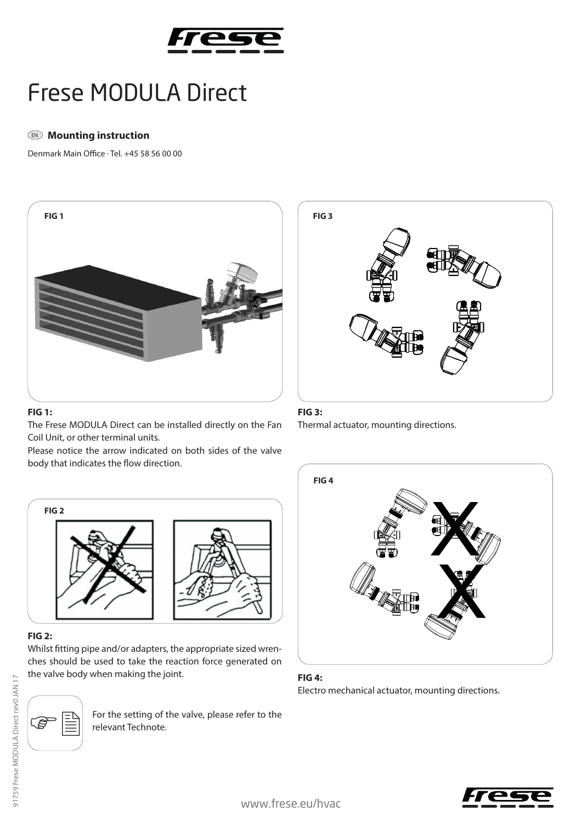

# Frese MODULA Direct

# $\mathbb{D}$  Mounting instruction

Denmark Main Office · Tel. +45 58 56 00 00



#### **FIG 1:**

The Frese MODULA Direct can be installed directly on the Fan Coil Unit, or other terminal units.

Please notice the arrow indicated on both sides of the valve body that indicates the flow direction.



## **FIG 2:**

Whilst fitting pipe and/or adapters, the appropriate sized wrenches should be used to take the reaction force generated on the valve body when making the joint. **FIG 4:**



For the setting of the valve, please refer to the relevant Technote.



### **FIG 3:**

Thermal actuator, mounting directions.



Electro mechanical actuator, mounting directions.